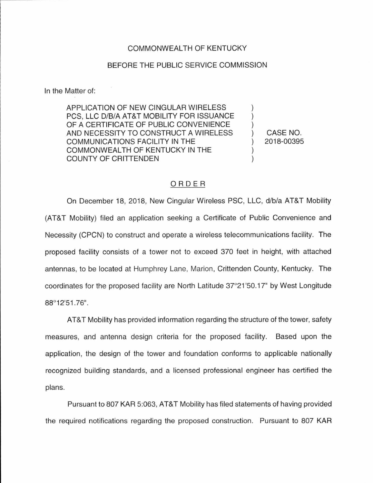## COMMONWEALTH OF KENTUCKY

## BEFORE THE PUBLIC SERVICE COMMISSION

In the Matter of:

APPLICATION OF NEW CINGULAR WIRELESS PCS, LLC D/B/A AT&T MOBILITY FOR ISSUANCE OF A CERTIFICATE OF PUBLIC CONVENIENCE AND NECESSITY TO CONSTRUCT A WIRELESS COMMUNICATIONS FACILITY IN THE COMMONWEALTH OF KENTUCKY IN THE COUNTY OF CRITIENDEN

) CASE NO. ) 2018-00395

) ) )

) )

## ORDER

On December 18, 2018, New Cingular Wireless PSC, LLC, d/b/a AT&T Mobility (AT&T Mobility) filed an application seeking a Certificate of Public Convenience and Necessity (CPCN) to construct and operate a wireless telecommunications facility. The proposed facility consists of a tower not to exceed 370 feet in height, with attached antennas, to be located at Humphrey Lane, Marion, Crittenden County, Kentucky. The coordinates for the proposed facility are North Latitude 37°21 '50.17" by West Longitude 88°12'51.76".

AT&T Mobility has provided information regarding the structure of the tower, safety measures, and antenna design criteria for the proposed facility. Based upon the application, the design of the tower and foundation conforms to applicable nationally recognized building standards, and a licensed professional engineer has certified the plans.

Pursuant to 807 KAR 5:063, AT&T Mobility has filed statements of having provided the required notifications regarding the proposed construction. Pursuant to 807 KAR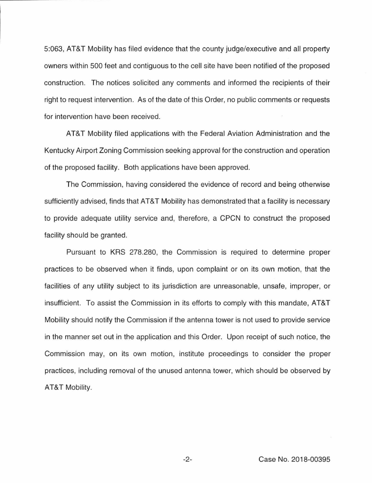5:063, AT&T Mobility has filed evidence that the county judge/executive and all property owners within 500 feet and contiguous to the cell site have been notified of the proposed construction. The notices solicited any comments and informed the recipients of their right to request intervention. As of the date of this Order, no public comments or requests for intervention have been received.

AT&T Mobility filed applications with the Federal Aviation Administration and the Kentucky Airport Zoning Commission seeking approval for the construction and operation of the proposed facility. Both applications have been approved.

The Commission, having considered the evidence of record and being otherwise sufficiently advised, finds that AT&T Mobility has demonstrated that a facility is necessary to provide adequate utility service and, therefore, a CPCN to construct the proposed facility should be granted.

Pursuant to KRS 278.280, the Commission is required to determine proper practices to be observed when it finds, upon complaint or on its own motion, that the facilities of any utility subject to its jurisdiction are unreasonable, unsafe, improper, or insufficient. To assist the Commission in its efforts to comply with this mandate, AT&T Mobility should notify the Commission if the antenna tower is not used to provide service in the manner set out in the application and this Order. Upon receipt of such notice, the Commission may, on its own motion, institute proceedings to consider the proper practices, including removal of the unused antenna tower, which should be observed by AT&T Mobility.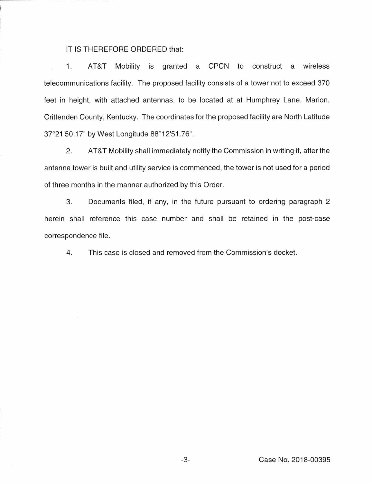## IT IS THEREFORE ORDERED that:

1. AT&T Mobility is granted a CPCN to construct a wireless telecommunications facility. The proposed facility consists of a tower not to exceed 370 feet in height, with attached antennas, to be located at at Humphrey Lane, Marion, Crittenden County, Kentucky. The coordinates for the proposed facility are North Latitude 37°21 '50.17" by West Longitude 88°12'51.76".

2. AT&T Mobility shall immediately notify the Commission in writing if, after the antenna tower is built and utility service is commenced, the tower is not used for a period of three months in the manner authorized by this Order.

3. Documents filed, if any, in the future pursuant to ordering paragraph 2 herein shall reference this case number and shall be retained in the post-case correspondence file.

4. This case is closed and removed from the Commission's docket.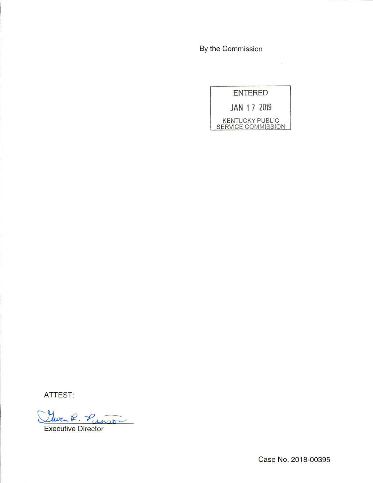By the Commission

ENTERED JAN 1 7 2019 KENTUCKY PUBLIC **SERVICE COMMISSION** 

 $\sim$ 

ATTEST:

Clara R. Punso

Executive Director